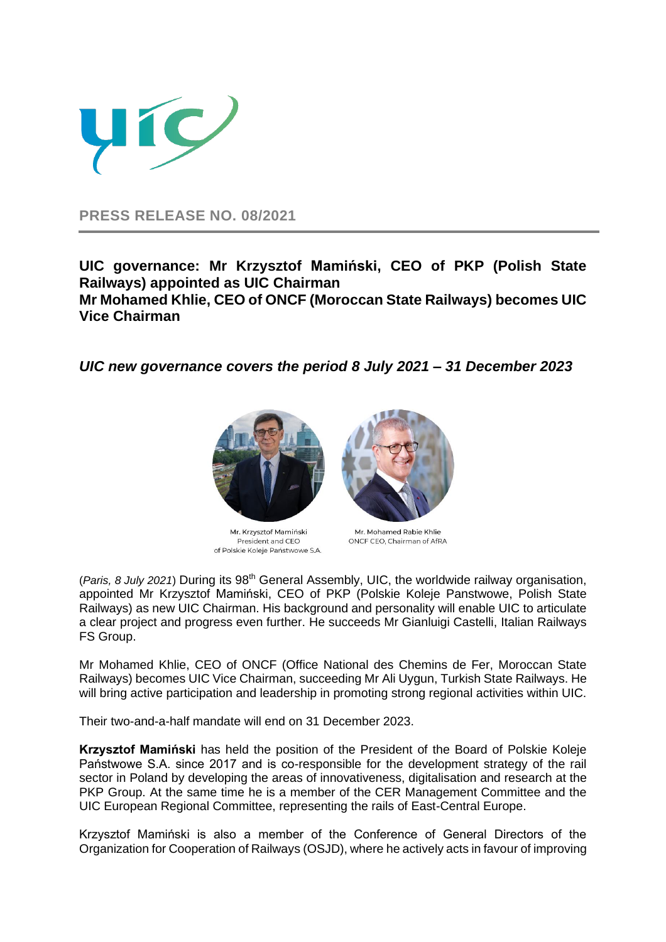

**PRESS RELEASE NO. 08/2021**

**UIC governance: Mr Krzysztof Mamiński, CEO of PKP (Polish State Railways) appointed as UIC Chairman Mr Mohamed Khlie, CEO of ONCF (Moroccan State Railways) becomes UIC Vice Chairman**

*UIC new governance covers the period 8 July 2021 – 31 December 2023*



Mr. Krzysztof Mamiński President and CEO of Polskie Koleje Państwowe S.A.

Mr. Mohamed Rabie Khlie ONCF CEO, Chairman of AfRA

(*Paris, 8 July 2021*) During its 98th General Assembly, UIC, the worldwide railway organisation, appointed Mr Krzysztof Mamiński, CEO of PKP (Polskie Koleje Panstwowe, Polish State Railways) as new UIC Chairman. His background and personality will enable UIC to articulate a clear project and progress even further. He succeeds Mr Gianluigi Castelli, Italian Railways FS Group.

Mr Mohamed Khlie, CEO of ONCF (Office National des Chemins de Fer, Moroccan State Railways) becomes UIC Vice Chairman, succeeding Mr Ali Uygun, Turkish State Railways. He will bring active participation and leadership in promoting strong regional activities within UIC.

Their two-and-a-half mandate will end on 31 December 2023.

**Krzysztof Mamiński** has held the position of the President of the Board of Polskie Koleje Państwowe S.A. since 2017 and is co-responsible for the development strategy of the rail sector in Poland by developing the areas of innovativeness, digitalisation and research at the PKP Group. At the same time he is a member of the CER Management Committee and the UIC European Regional Committee, representing the rails of East-Central Europe.

Krzysztof Mamiński is also a member of the Conference of General Directors of the Organization for Cooperation of Railways (OSJD), where he actively acts in favour of improving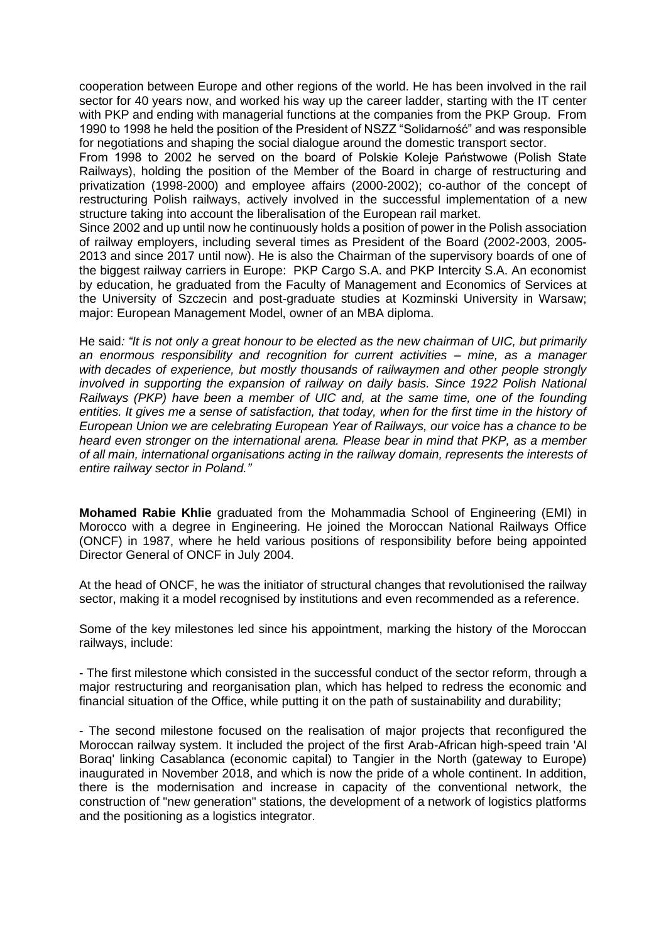cooperation between Europe and other regions of the world. He has been involved in the rail sector for 40 years now, and worked his way up the career ladder, starting with the IT center with PKP and ending with managerial functions at the companies from the PKP Group. From 1990 to 1998 he held the position of the President of NSZZ "Solidarność" and was responsible for negotiations and shaping the social dialogue around the domestic transport sector.

From 1998 to 2002 he served on the board of Polskie Koleje Państwowe (Polish State Railways), holding the position of the Member of the Board in charge of restructuring and privatization (1998-2000) and employee affairs (2000-2002); co-author of the concept of restructuring Polish railways, actively involved in the successful implementation of a new structure taking into account the liberalisation of the European rail market.

Since 2002 and up until now he continuously holds a position of power in the Polish association of railway employers, including several times as President of the Board (2002-2003, 2005- 2013 and since 2017 until now). He is also the Chairman of the supervisory boards of one of the biggest railway carriers in Europe: PKP Cargo S.A. and PKP Intercity S.A. An economist by education, he graduated from the Faculty of Management and Economics of Services at the University of Szczecin and post-graduate studies at Kozminski University in Warsaw; major: European Management Model, owner of an MBA diploma.

He said*: "It is not only a great honour to be elected as the new chairman of UIC, but primarily an enormous responsibility and recognition for current activities – mine, as a manager with decades of experience, but mostly thousands of railwaymen and other people strongly involved in supporting the expansion of railway on daily basis. Since 1922 Polish National Railways (PKP) have been a member of UIC and, at the same time, one of the founding*  entities. It gives me a sense of satisfaction, that today, when for the first time in the history of *European Union we are celebrating European Year of Railways, our voice has a chance to be heard even stronger on the international arena. Please bear in mind that PKP, as a member of all main, international organisations acting in the railway domain, represents the interests of entire railway sector in Poland."*

**Mohamed Rabie Khlie** graduated from the Mohammadia School of Engineering (EMI) in Morocco with a degree in Engineering. He joined the Moroccan National Railways Office (ONCF) in 1987, where he held various positions of responsibility before being appointed Director General of ONCF in July 2004.

At the head of ONCF, he was the initiator of structural changes that revolutionised the railway sector, making it a model recognised by institutions and even recommended as a reference.

Some of the key milestones led since his appointment, marking the history of the Moroccan railways, include:

- The first milestone which consisted in the successful conduct of the sector reform, through a major restructuring and reorganisation plan, which has helped to redress the economic and financial situation of the Office, while putting it on the path of sustainability and durability;

- The second milestone focused on the realisation of major projects that reconfigured the Moroccan railway system. It included the project of the first Arab-African high-speed train 'Al Boraq' linking Casablanca (economic capital) to Tangier in the North (gateway to Europe) inaugurated in November 2018, and which is now the pride of a whole continent. In addition, there is the modernisation and increase in capacity of the conventional network, the construction of "new generation" stations, the development of a network of logistics platforms and the positioning as a logistics integrator.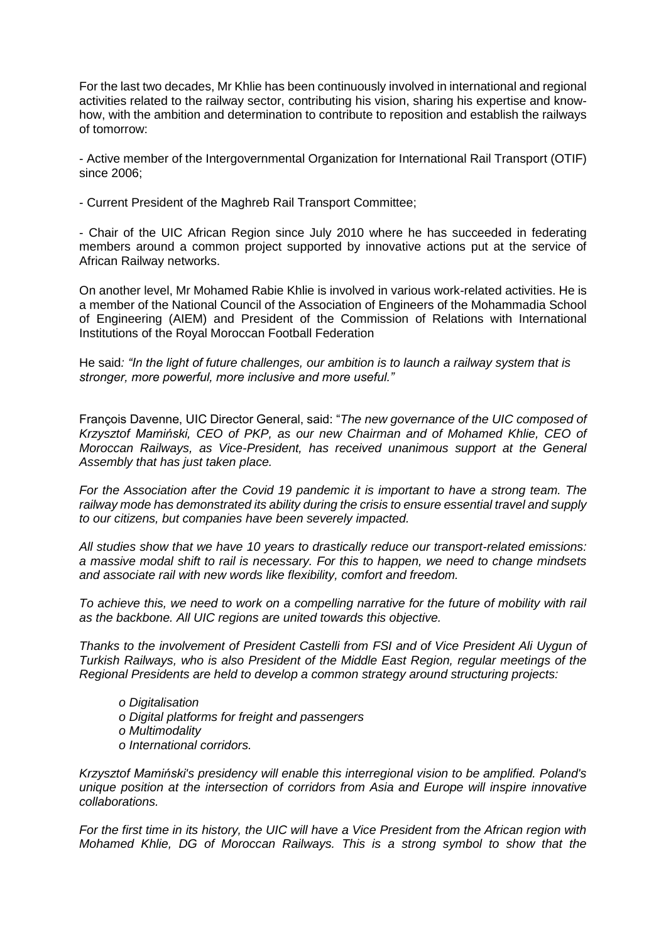For the last two decades, Mr Khlie has been continuously involved in international and regional activities related to the railway sector, contributing his vision, sharing his expertise and knowhow, with the ambition and determination to contribute to reposition and establish the railways of tomorrow:

- Active member of the Intergovernmental Organization for International Rail Transport (OTIF) since 2006;

- Current President of the Maghreb Rail Transport Committee;

- Chair of the UIC African Region since July 2010 where he has succeeded in federating members around a common project supported by innovative actions put at the service of African Railway networks.

On another level, Mr Mohamed Rabie Khlie is involved in various work-related activities. He is a member of the National Council of the Association of Engineers of the Mohammadia School of Engineering (AIEM) and President of the Commission of Relations with International Institutions of the Royal Moroccan Football Federation

He said*: "In the light of future challenges, our ambition is to launch a railway system that is stronger, more powerful, more inclusive and more useful."* 

François Davenne, UIC Director General, said: "*The new governance of the UIC composed of Krzysztof Mamiński, CEO of PKP, as our new Chairman and of Mohamed Khlie, CEO of Moroccan Railways, as Vice-President, has received unanimous support at the General Assembly that has just taken place.* 

*For the Association after the Covid 19 pandemic it is important to have a strong team. The railway mode has demonstrated its ability during the crisis to ensure essential travel and supply to our citizens, but companies have been severely impacted.*

*All studies show that we have 10 years to drastically reduce our transport-related emissions: a massive modal shift to rail is necessary. For this to happen, we need to change mindsets and associate rail with new words like flexibility, comfort and freedom.*

*To achieve this, we need to work on a compelling narrative for the future of mobility with rail as the backbone. All UIC regions are united towards this objective.*

*Thanks to the involvement of President Castelli from FSI and of Vice President Ali Uygun of Turkish Railways, who is also President of the Middle East Region, regular meetings of the Regional Presidents are held to develop a common strategy around structuring projects:*

- *o Digitalisation*
- *o Digital platforms for freight and passengers*
- *o Multimodality*
- *o International corridors.*

*Krzysztof Mamiński's presidency will enable this interregional vision to be amplified. Poland's unique position at the intersection of corridors from Asia and Europe will inspire innovative collaborations.*

*For the first time in its history, the UIC will have a Vice President from the African region with Mohamed Khlie, DG of Moroccan Railways. This is a strong symbol to show that the*